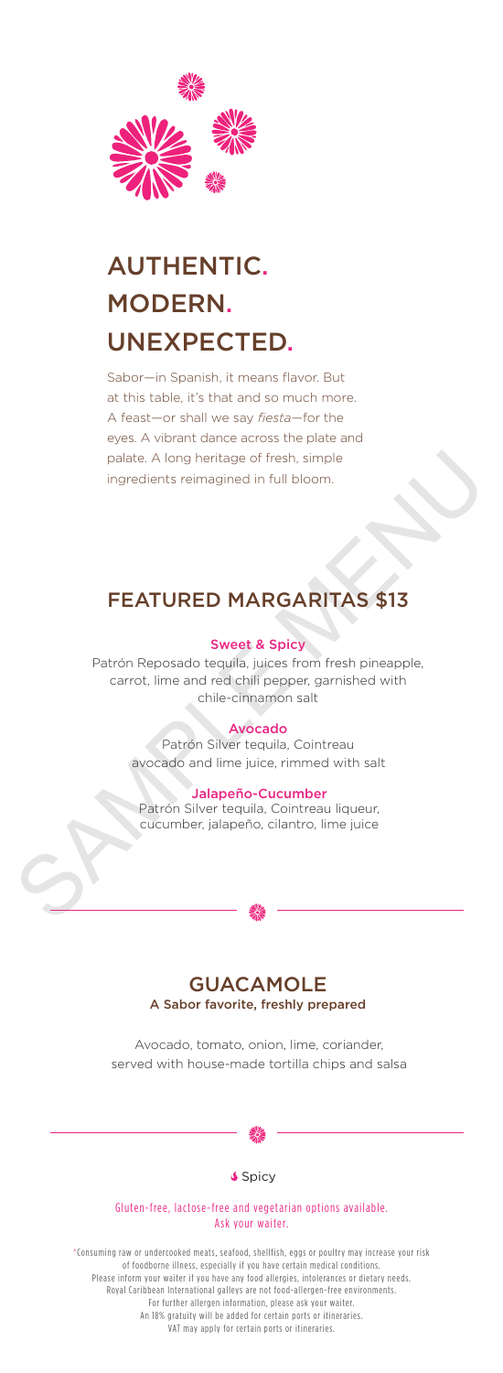

# AUTHENTIC. MODERN. UNEXPECTED.

Sabor—in Spanish, it means flavor. But at this table, it's that and so much more. A feast—or shall we say *fiesta*—for the eyes. A vibrant dance across the plate and palate. A long heritage of fresh, simple ingredients reimagined in full bloom.

# FEATURED MARGARITAS \$13

#### Sweet & Spicy

palate. A long heritage of fresh, simple<br>ingredients reimagined in full bloom.<br>
Sweet & Spicy<br>
Sweet & Spicy<br>
Patrón Reposado tequila, juices from fresh pineapple,<br>
carrot, lime and red chili pepper, garnished with<br>
chile-Patrón Reposado tequila, juices from fresh pineapple, carrot, lime and red chili pepper, garnished with chile-cinnamon salt

#### Avocado

Patrón Silver tequila, Cointreau avocado and lime juice, rimmed with salt

#### Jalapeño-Cucumber

Patrón Silver tequila, Cointreau liqueur, cucumber, jalapeño, cilantro, lime juice



#### GUACAMOLE A Sabor favorite, freshly prepared

Avocado, tomato, onion, lime, coriander, served with house-made tortilla chips and salsa



#### **Spicy**

#### Gluten-free, lactose-free and vegetarian options available. Ask your waiter.

\*Consuming raw or undercooked meats, seafood, shellfish, eggs or poultry may increase your risk of foodborne illness, especially if you have certain medical conditions. Please inform your waiter if you have any food allergies, intolerances or dietary needs. Royal Caribbean International galleys are not food-allergen-free environments. For further allergen information, please ask your waiter. An 18% gratuity will be added for certain ports or itineraries. VAT may apply for certain ports or itineraries.